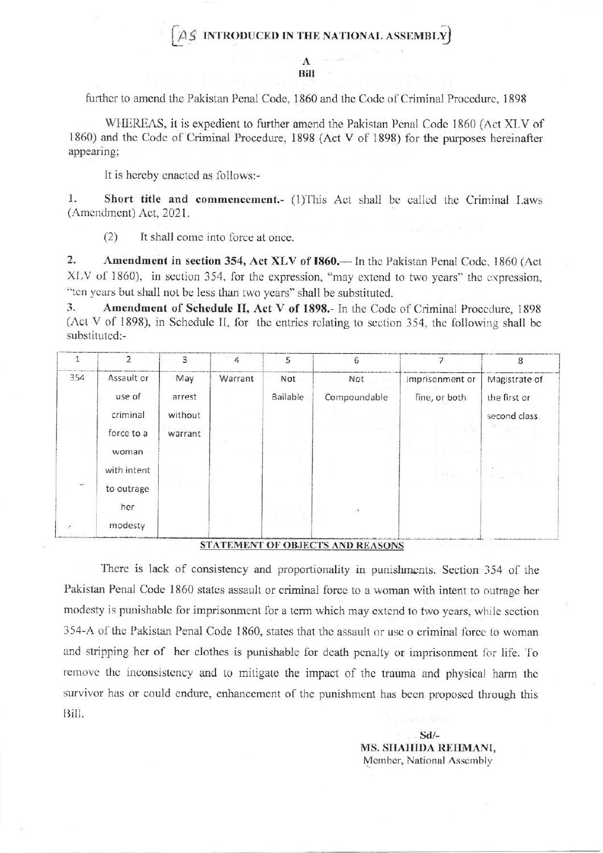## $AS$  INTRODUCED IN THE NATIONAL ASSEMBLY

Bill

further to amend the Pakistan Penal Code, 1860 and the Code of Criminal Procedure, 1898

WHEREAS, it is expedient to further amend the Pakistan Penal Code 1860 (Act XLV of 1860) and the Code of Criminal Procedure, 1898 (Act V of 1898) for the purposes hereinafter appearing:

It is hereby enacted as follows:-

 $1.$ Short title and commencement.- (1)This Act shall be called the Criminal Laws (Amendment) Act, 2021.

 $(2)$ It shall come into force at once.

 $2.$ Amendment in section 354, Act XLV of 1860.— In the Pakistan Penal Code, 1860 (Act XLV of 1860), in section 354, for the expression, "may extend to two years" the expression, "ten years but shall not be less than two years" shall be substituted.

3. Amendment of Schedule II, Act V of 1898.- In the Code of Criminal Procedure, 1898 (Act V of 1898), in Schedule II, for the entries relating to section 354, the following shall be substituted:-

|     | 2                                              | $\overline{3}$                      | 4       | 5               | 6                           |                                  | 8                                                                            |
|-----|------------------------------------------------|-------------------------------------|---------|-----------------|-----------------------------|----------------------------------|------------------------------------------------------------------------------|
| 354 | Assault or<br>use of<br>criminal<br>force to a | May<br>arrest<br>without<br>warrant | Warrant | Not<br>Bailable | Not the set<br>Compoundable | Imprisonment or<br>fine, or both | Magistrate of<br>the first or<br>second class.<br>$\mathcal{F}^{\text{max}}$ |
|     | woman<br>with intent                           |                                     |         |                 |                             | 경기속의<br><b>FREE</b>              |                                                                              |
| of. | to outrage<br>her<br>modesty                   |                                     |         |                 |                             |                                  |                                                                              |

## STATEMENT OF OBJECTS AND REASONS

There is lack of consistency and proportionality in punishments. Section 354 of the Pakistan Penal Code 1860 states assault or criminal force to a woman with intent to outrage her modesty is punishable for imprisonment for a term which may extend to two years, while section 354-A of the Pakistan Penal Code 1860, states that the assault or use o criminal force to woman and stripping her of her clothes is punishable for death penalty or imprisonment for life. To remove the inconsistency and to mitigate the impact of the trauma and physical harm the survivor has or could endure, enhancement of the punishment has been proposed through this Bill.

> $Sd/-$ MS. SHAHIDA REHMANI, Member, National Assembly